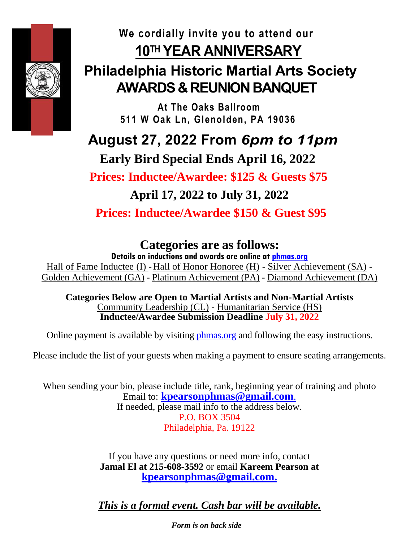

## **We cordially invite you to attend our 10TH YEAR ANNIVERSARY**

## **Philadelphia Historic Martial Arts Society AWARDS & REUNION BANQUET**

 **At The Oaks Ballroom 511 W Oak Ln, Glenolden, PA 19036**

 **August 27, 2022 From** *6pm to 11pm*

 **Early Bird Special Ends April 16, 2022**

 **Prices: Inductee/Awardee: \$125 & Guests \$75**

**April 17, 2022 to July 31, 2022**

**Prices: Inductee/Awardee \$150 & Guest \$95**

## **Categories are as follows:**

**Details on inductions and awards are online at [phmas.org](http://phmas.org/)**

Hall of Fame Inductee (I) -Hall of Honor Honoree (H) - Silver Achievement (SA) - Golden Achievement (GA) - Platinum Achievement (PA) - Diamond Achievement (DA)

**Categories Below are Open to Martial Artists and Non-Martial Artists**  Community Leadership (CL) - Humanitarian Service (HS) **Inductee/Awardee Submission Deadline July 31, 2022**

Online payment is available by visiting [phmas.org](http://phmas.org/) and following the easy instructions.

Please include the list of your guests when making a payment to ensure seating arrangements.

When sending your bio, please include title, rank, beginning year of training and photo Email [to:](ftp://to:_kpearsonphmas@gmail.com/) **kpearsonphmas@gmail.com**. If needed, please mail info to the address below. P.O. BOX 3504 Philadelphia, Pa. 19122

> If you have any questions or need more info, contact **Jamal El at 215-608-3592** or email **Kareem Pearson at [kpearsonphmas@gmail.com.](mailto:kpearsonphmas@gmail.com)**

> *This is a formal event. Cash bar will be available.*

*Form is on back side*